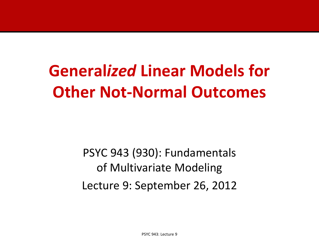# **General***ized* **Linear Models for Other Not-Normal Outcomes**

PSYC 943 (930): Fundamentals of Multivariate Modeling Lecture 9: September 26, 2012

PSYC 943: Lecture 9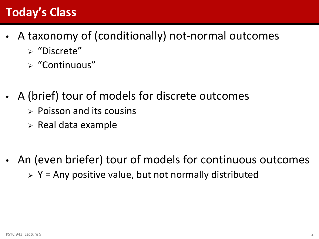# **Today's Class**

- A taxonomy of (conditionally) not-normal outcomes
	- $\triangleright$  "Discrete"
	- "Continuous"
- A (brief) tour of models for discrete outcomes
	- $\triangleright$  Poisson and its cousins
	- $\triangleright$  Real data example
- An (even briefer) tour of models for continuous outcomes  $\triangleright$  Y = Any positive value, but not normally distributed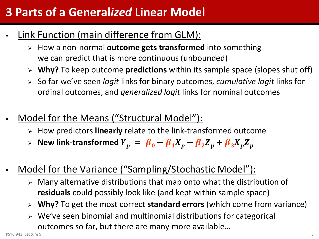# **3 Parts of a General***ized* **Linear Model**

- Link Function (main difference from GLM):
	- How a non-normal **outcome gets transformed** into something we can predict that is more continuous (unbounded)
	- **Why?** To keep outcome **predictions** within its sample space (slopes shut off)
	- So far we've seen *logit* links for binary outcomes, *cumulative logit* links for ordinal outcomes, and *generalized logit* links for nominal outcomes
- Model for the Means ("Structural Model"):
	- How predictors **linearly** relate to the link-transformed outcome
	- $\triangleright$  New link-transformed  $\overline{Y}_p \ = \ \overline{\beta}_0 + \overline{\beta}_1 X_p + \overline{\beta}_2 Z_p + \overline{\beta}_3 X_p Z_p$
- Model for the Variance ("Sampling/Stochastic Model"):
	- $\triangleright$  Many alternative distributions that map onto what the distribution of **residuals** could possibly look like (and kept within sample space)
	- **Why?** To get the most correct **standard errors** (which come from variance)
	- We've seen binomial and multinomial distributions for categorical outcomes so far, but there are many more available…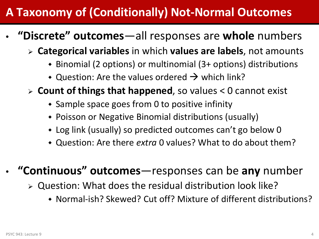# **A Taxonomy of (Conditionally) Not-Normal Outcomes**

- **"Discrete" outcomes**—all responses are **whole** numbers
	- **Categorical variables** in which **values are labels**, not amounts
		- Binomial (2 options) or multinomial (3+ options) distributions
		- $\bullet$  Question: Are the values ordered  $\rightarrow$  which link?
	- **Count of things that happened**, so values < 0 cannot exist
		- Sample space goes from 0 to positive infinity
		- Poisson or Negative Binomial distributions (usually)
		- Log link (usually) so predicted outcomes can't go below 0
		- Question: Are there *extra* 0 values? What to do about them?

#### • **"Continuous" outcomes**—responses can be **any** number

- $\triangleright$  Question: What does the residual distribution look like?
	- Normal-ish? Skewed? Cut off? Mixture of different distributions?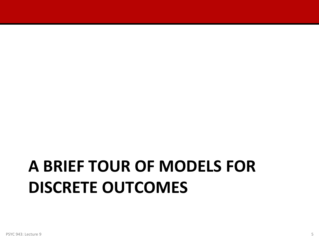# **A BRIEF TOUR OF MODELS FOR DISCRETE OUTCOMES**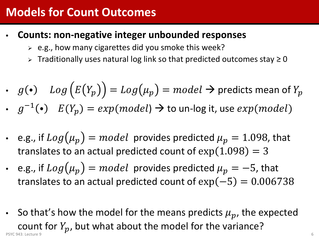### **Models for Count Outcomes**

- **Counts: non-negative integer unbounded responses**
	- $\geq$  e.g., how many cigarettes did you smoke this week?
	- > Traditionally uses natural log link so that predicted outcomes stay ≥ 0

• 
$$
g(\bullet) \quad Log\big(E(Y_p)\big) = Log(\mu_p) = model \rightarrow \text{predicts mean of } Y_p
$$

- $g^{-1}(\bullet)$   $E(Y_p) = exp(model) \rightarrow$  to un-log it, use  $exp(model)$
- e.g., if  $Log(\mu_p) = model$  provides predicted  $\mu_p = 1.098$ , that translates to an actual predicted count of  $exp(1.098) = 3$
- e.g., if  $Log(\mu_p) = model$  provides predicted  $\mu_p = -5$ , that translates to an actual predicted count of  $exp(-5) = 0.006738$
- So that's how the model for the means predicts  $\mu_p$ , the expected count for  $Y_p$ , but what about the model for the variance? PSYC 943: Lecture 9 6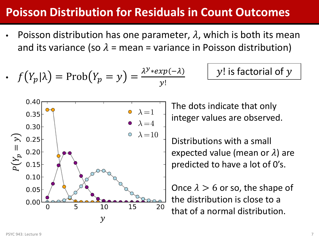### **Poisson Distribution for Residuals in Count Outcomes**

Poisson distribution has one parameter,  $\lambda$ , which is both its mean and its variance (so  $\lambda$  = mean = variance in Poisson distribution)

• 
$$
f(Y_p|\lambda) = \text{Prob}(Y_p = y) = \frac{\lambda^{y} \cdot \exp(-\lambda)}{y!}
$$

$$
y!
$$
 is factorial of  $y$ 

The dots indicate that only integer values are observed.

Distributions with a small expected value (mean or  $\lambda$ ) are predicted to have a lot of 0's.

Once  $\lambda > 6$  or so, the shape of the distribution is close to a that of a normal distribution.

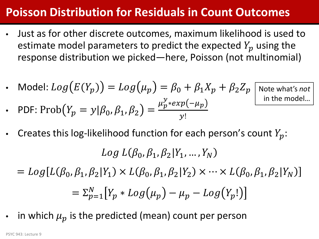## **Poisson Distribution for Residuals in Count Outcomes**

- Just as for other discrete outcomes, maximum likelihood is used to estimate model parameters to predict the expected  $Y_p$  using the response distribution we picked—here, Poisson (not multinomial)
- Model:  $Log(E(Y_p)) = Log(\mu_p) = \beta_0 + \beta_1 X_p + \beta_2 Z_p$

• PDF: 
$$
Prob(Y_p = y | \beta_0, \beta_1, \beta_2) = \frac{\mu_p^y * exp(-\mu_p)}{y!}
$$

Note what's *not* in the model…

Creates this log-likelihood function for each person's count  $Y_p$ :

 $Log L(\beta_0, \beta_1, \beta_2 | Y_1, ..., Y_N)$ 

- $= Log[L(\beta_0, \beta_1, \beta_2|Y_1) \times L(\beta_0, \beta_1, \beta_2|Y_2) \times \cdots \times L(\beta_0, \beta_1, \beta_2|Y_N)]$  $=\sum_{p=1}^N [Y_p * Log(\mu_p) - \mu_p - Log(Y_p)]$
- in which  $\mu_p$  is the predicted (mean) count per person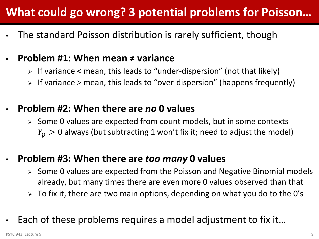# **What could go wrong? 3 potential problems for Poisson…**

• The standard Poisson distribution is rarely sufficient, though

#### • **Problem #1: When mean ≠ variance**

- $\triangleright$  If variance  $\leq$  mean, this leads to "under-dispersion" (not that likely)
- $\triangleright$  If variance  $\triangleright$  mean, this leads to "over-dispersion" (happens frequently)

#### • **Problem #2: When there are** *no* **0 values**

 $\triangleright$  Some 0 values are expected from count models, but in some contexts  $Y_p > 0$  always (but subtracting 1 won't fix it; need to adjust the model)

#### • **Problem #3: When there are** *too many* **0 values**

- $\triangleright$  Some 0 values are expected from the Poisson and Negative Binomial models already, but many times there are even more 0 values observed than that
- $\triangleright$  To fix it, there are two main options, depending on what you do to the O's
- Each of these problems requires a model adjustment to fix it...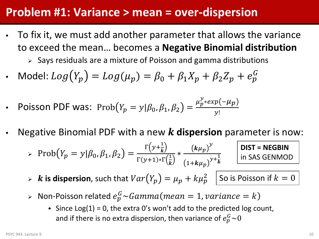#### **Problem #1: Variance > mean = over-dispersion**

• To fix it, we must add another parameter that allows the variance to exceed the mean… becomes a **Negative Binomial distribution**

 $\triangleright$  Says residuals are a mixture of Poisson and gamma distributions

- Model:  $Log(Y_p) = Log(\mu_p) = \beta_0 + \beta_1 X_p + \beta_2 Z_p + e_p^G$
- Poisson PDF was:  $\text{Prob}(Y_p = y | \beta_0, \beta_1, \beta_2) = \frac{\mu_p^{\mathcal{Y}} * exp(-\mu_p)}{y!}$  $\mathcal{Y}!$
- Negative Binomial PDF with a new **dispersion** parameter is now:

$$
\triangleright \text{Prob}(Y_p = y | \beta_0, \beta_1, \beta_2) = \frac{\Gamma(y + \frac{1}{k})}{\Gamma(y + 1) \cdot \Gamma(\frac{1}{k})} \cdot \frac{(k\mu_p)^y}{(1 + k\mu_p)^{y + \frac{1}{k}}} \quad \text{DIST = NEGBIN}
$$

- $\triangleright$  **k** is dispersion, such that  $Var(Y_p) = \mu_p + k\mu_p^2$   $\boxed{\text{So is Poisson if } k = 0}$
- $\triangleright$  Non-Poisson related  $e_p^G\!\thicksim \!Gamma(mean=1,variance=k)$ 
	- $\bullet$  Since Log(1) = 0, the extra 0's won't add to the predicted log count, and if there is no extra dispersion, then variance of  $e_p^G$ ~0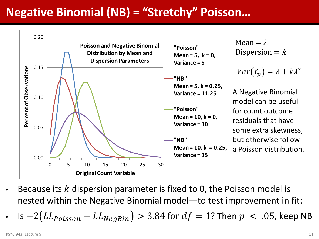# **Negative Binomial (NB) = "Stretchy" Poisson…**



- Because its  $k$  dispersion parameter is fixed to 0, the Poisson model is nested within the Negative Binomial model—to test improvement in fit:
- ls  $-2(LL_{Poisson} LL_{NegBin}) > 3.84$  for  $df = 1$ ? Then  $p < .05$ , keep NB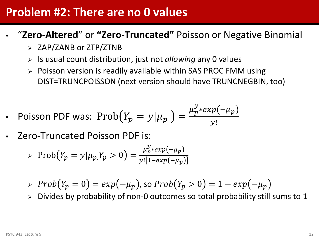#### **Problem #2: There are no 0 values**

- "**Zero-Altered**" or **"Zero-Truncated"** Poisson or Negative Binomial
	- $\geq$  ZAP/ZANB or ZTP/ZTNB
	- Is usual count distribution, just not *allowing* any 0 values
	- > Poisson version is readily available within SAS PROC FMM using DIST=TRUNCPOISSON (next version should have TRUNCNEGBIN, too)

• Poisson PDF was: 
$$
\text{Prob}(Y_p = y | \mu_p) = \frac{\mu_p^y * exp(-\mu_p)}{y!}
$$

• Zero-Truncated Poisson PDF is:

> 
$$
\text{Prob}(Y_p = y | \mu_p, Y_p > 0) = \frac{\mu_p^y * \exp(-\mu_p)}{y! [1 - \exp(-\mu_p)]}
$$

- $\Rightarrow$   $Prob(Y_p = 0) = exp(-\mu_p)$ , so  $Prob(Y_p > 0) = 1 exp(-\mu_p)$
- Divides by probability of non-0 outcomes so total probability still sums to 1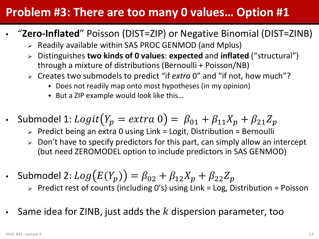# **Problem #3: There are too many 0 values… Option #1**

- "**Zero-Inflated**" Poisson (DIST=ZIP) or Negative Binomial (DIST=ZINB)
	- $\triangleright$  Readily available within SAS PROC GENMOD (and Mplus)
	- Distinguishes **two kinds of 0 values**: **expected** and **inflated** ("structural") through a mixture of distributions (Bernoulli + Poisson/NB)
	- Creates two submodels to predict "if *extra* 0" and "if not, how much"?
		- Does not readily map onto most hypotheses (in my opinion)
		- ◆ But a ZIP example would look like this...
- Submodel 1:  $Logit(Y_p = extra 0) = \beta_{01} + \beta_{11}X_p + \beta_{21}Z_p$ 
	- $\triangleright$  Predict being an extra 0 using Link = Logit, Distribution = Bernoulli
	- $\triangleright$  Don't have to specify predictors for this part, can simply allow an intercept (but need ZEROMODEL option to include predictors in SAS GENMOD)
- Submodel 2:  $Log(E(Y_p)) = \beta_{02} + \beta_{12}X_p + \beta_{22}Z_p$ 
	- $\triangleright$  Predict rest of counts (including O's) using Link = Log, Distribution = Poisson
- Same idea for ZINB, just adds the  $k$  dispersion parameter, too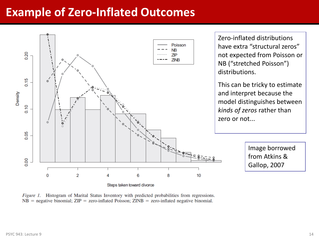### **Example of Zero-Inflated Outcomes**



*Figure 1.* Histogram of Marital Status Inventory with predicted probabilities from regressions.  $NB$  = negative binomial;  $ZIP$  = zero-inflated Poisson;  $ZINB$  = zero-inflated negative binomial.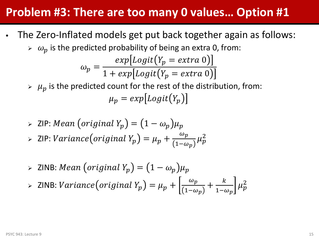#### **Problem #3: There are too many 0 values… Option #1**

- The Zero-Inflated models get put back together again as follows:
	- $\delta > \omega_p$  is the predicted probability of being an extra 0, from:

$$
\omega_p = \frac{exp[Logit(Y_p = extra 0)]}{1 + exp[Logit(Y_p = extra 0)]}
$$

- $\mu_p$  is the predicted count for the rest of the distribution, from:  $\mu_n = exp[Logit(Y_n)]$
- > ZIP: Mean (original Y<sub>p</sub>) =  $(1 ω_p)μ_p$
- $>$  ZIP:  $Variance\bigl(original\ Y_p\bigr) = \mu_p + \frac{\omega_p}{(1-\omega_p)}$  $\frac{\omega_p}{1-\omega_p} \mu_p^2$
- > ZINB: Mean (original  $Y_p$ ) =  $(1 \omega_p)\mu_p$

▶ ZINB: Variance(original 
$$
Y_p
$$
) =  $\mu_p + \left[ \frac{\omega_p}{(1 - \omega_p)} + \frac{k}{1 - \omega_p} \right] \mu_p^2$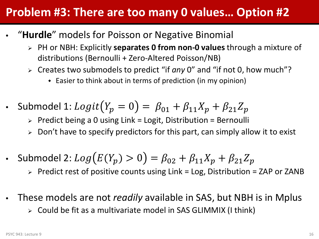### **Problem #3: There are too many 0 values… Option #2**

- "**Hurdle**" models for Poisson or Negative Binomial
	- PH or NBH: Explicitly **separates 0 from non-0 values** through a mixture of distributions (Bernoulli + Zero-Altered Poisson/NB)
	- Creates two submodels to predict "if *any* 0" and "if not 0, how much"?
		- Easier to think about in terms of prediction (in my opinion)
- Submodel 1:  $Logit(Y_p = 0) = \beta_{01} + \beta_{11}X_p + \beta_{21}Z_p$ 
	- $\triangleright$  Predict being a 0 using Link = Logit, Distribution = Bernoulli
	- $\triangleright$  Don't have to specify predictors for this part, can simply allow it to exist
- Submodel 2:  $Log(E(Y_p) > 0) = \beta_{02} + \beta_{11}X_p + \beta_{21}Z_p$

 $\triangleright$  Predict rest of positive counts using Link = Log, Distribution = ZAP or ZANB

- These models are not *readily* available in SAS, but NBH is in Mplus
	- Could be fit as a multivariate model in SAS GLIMMIX (I think)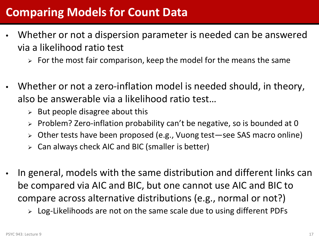## **Comparing Models for Count Data**

- Whether or not a dispersion parameter is needed can be answered via a likelihood ratio test
	- $\triangleright$  For the most fair comparison, keep the model for the means the same
- Whether or not a zero-inflation model is needed should, in theory, also be answerable via a likelihood ratio test…
	- $\triangleright$  But people disagree about this
	- $\triangleright$  Problem? Zero-inflation probability can't be negative, so is bounded at 0
	- Other tests have been proposed (e.g., Vuong test—see SAS macro online)
	- Can always check AIC and BIC (smaller is better)
- In general, models with the same distribution and different links can be compared via AIC and BIC, but one cannot use AIC and BIC to compare across alternative distributions (e.g., normal or not?)
	- $\triangleright$  Log-Likelihoods are not on the same scale due to using different PDFs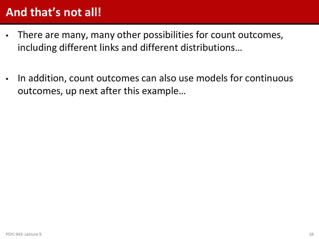# **And that's not all!**

- There are many, many other possibilities for count outcomes, including different links and different distributions…
- In addition, count outcomes can also use models for continuous outcomes, up next after this example…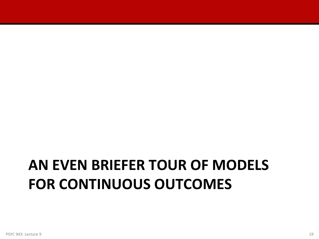# **AN EVEN BRIEFER TOUR OF MODELS FOR CONTINUOUS OUTCOMES**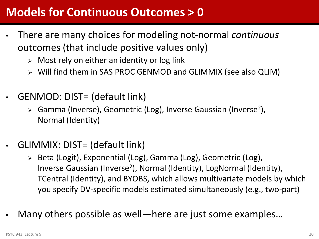#### **Models for Continuous Outcomes > 0**

- There are many choices for modeling not-normal *continuous* outcomes (that include positive values only)
	- $\triangleright$  Most rely on either an identity or log link
	- Will find them in SAS PROC GENMOD and GLIMMIX (see also QLIM)
- GENMOD: DIST= (default link)
	- $\triangleright$  Gamma (Inverse), Geometric (Log), Inverse Gaussian (Inverse<sup>2</sup>), Normal (Identity)
- GLIMMIX: DIST= (default link)
	- Beta (Logit), Exponential (Log), Gamma (Log), Geometric (Log), Inverse Gaussian (Inverse2), Normal (Identity), LogNormal (Identity), TCentral (Identity), and BYOBS, which allows multivariate models by which you specify DV-specific models estimated simultaneously (e.g., two-part)
- Many others possible as well—here are just some examples...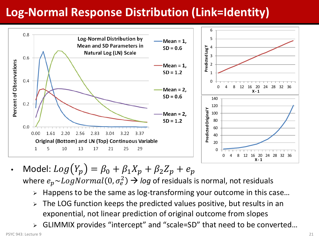# **Log-Normal Response Distribution (Link=Identity)**



- Model:  $Log(Y_p) = \beta_0 + \beta_1 X_p + \beta_2 Z_p + e_p$ where  $e_p{\sim}LogNormal(0,\sigma_e^2)$   $\rightarrow$  *log* of residuals is normal, not residuals
	- $\triangleright$  Happens to be the same as log-transforming your outcome in this case...
	- $\triangleright$  The LOG function keeps the predicted values positive, but results in an exponential, not linear prediction of original outcome from slopes
	- GLIMMIX provides "intercept" and "scale=SD" that need to be converted…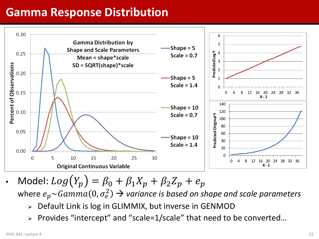### **Gamma Response Distribution**



Model:  $Log(Y_p) = \beta_0 + \beta_1 X_p + \beta_2 Z_p + e_p$ where  $e_p{\sim}Gamma(0,\sigma_e^2)$   $\rightarrow$  variance is based on shape and scale parameters

- Default Link is log in GLIMMIX, but inverse in GENMOD
- Provides "intercept" and "scale=1/scale" that need to be converted…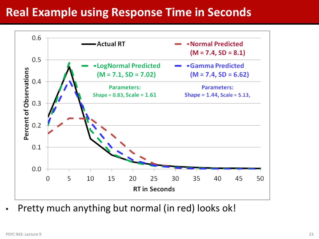#### **Real Example using Response Time in Seconds**



• Pretty much anything but normal (in red) looks ok!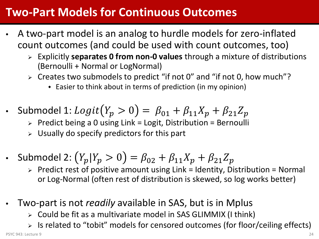### **Two-Part Models for Continuous Outcomes**

- A two-part model is an analog to hurdle models for zero-inflated count outcomes (and could be used with count outcomes, too)
	- Explicitly **separates 0 from non-0 values** through a mixture of distributions (Bernoulli + Normal or LogNormal)
	- $\triangleright$  Creates two submodels to predict "if not 0" and "if not 0, how much"?
		- Easier to think about in terms of prediction (in my opinion)
- Submodel 1:  $Logit(Y_p > 0) = \beta_{01} + \beta_{11}X_p + \beta_{21}Z_p$ 
	- $\triangleright$  Predict being a 0 using Link = Logit, Distribution = Bernoulli
	- $\triangleright$  Usually do specify predictors for this part
- Submodel 2:  $(Y_p | Y_p > 0) = \beta_{02} + \beta_{11} X_p + \beta_{21} Z_p$ 
	- $\triangleright$  Predict rest of positive amount using Link = Identity, Distribution = Normal or Log-Normal (often rest of distribution is skewed, so log works better)
- Two-part is not *readily* available in SAS, but is in Mplus
	- Could be fit as a multivariate model in SAS GLIMMIX (I think)
	- Is related to "tobit" models for censored outcomes (for floor/ceiling effects)